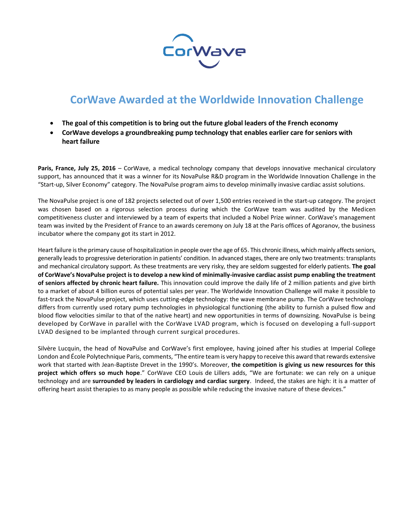

## **CorWave Awarded at the Worldwide Innovation Challenge**

- **The goal of this competition is to bring out the future global leaders of the French economy**
- **CorWave develops a groundbreaking pump technology that enables earlier care for seniors with heart failure**

Paris, France, July 25, 2016 – CorWave, a medical technology company that develops innovative mechanical circulatory support, has announced that it was a winner for its NovaPulse R&D program in the Worldwide Innovation Challenge in the "Start-up, Silver Economy" category. The NovaPulse program aims to develop minimally invasive cardiac assist solutions.

The NovaPulse project is one of 182 projects selected out of over 1,500 entries received in the start-up category. The project was chosen based on a rigorous selection process during which the CorWave team was audited by the Medicen competitiveness cluster and interviewed by a team of experts that included a Nobel Prize winner. CorWave's management team was invited by the President of France to an awards ceremony on July 18 at the Paris offices of Agoranov, the business incubator where the company got its start in 2012.

Heart failure is the primary cause of hospitalization in people over the age of 65. This chronic illness, which mainly affects seniors, generally leads to progressive deterioration in patients' condition. In advanced stages, there are only two treatments: transplants and mechanical circulatory support. As these treatments are very risky, they are seldom suggested for elderly patients. **The goal of CorWave's NovaPulse project is to develop a new kind of minimally-invasive cardiac assist pump enabling the treatment of seniors affected by chronic heart failure.** This innovation could improve the daily life of 2 million patients and give birth to a market of about 4 billion euros of potential sales per year. The Worldwide Innovation Challenge will make it possible to fast-track the NovaPulse project, which uses cutting-edge technology: the wave membrane pump. The CorWave technology differs from currently used rotary pump technologies in physiological functioning (the ability to furnish a pulsed flow and blood flow velocities similar to that of the native heart) and new opportunities in terms of downsizing. NovaPulse is being developed by CorWave in parallel with the CorWave LVAD program, which is focused on developing a full-support LVAD designed to be implanted through current surgical procedures.

Silvère Lucquin, the head of NovaPulse and CorWave's first employee, having joined after his studies at Imperial College London and École Polytechnique Paris, comments, "The entire team is very happy to receive this award that rewards extensive work that started with Jean-Baptiste Drevet in the 1990's. Moreover, **the competition is giving us new resources for this project which offers so much hope**." CorWave CEO Louis de Lillers adds, "We are fortunate: we can rely on a unique technology and are **surrounded by leaders in cardiology and cardiac surgery**. Indeed, the stakes are high: it is a matter of offering heart assist therapies to as many people as possible while reducing the invasive nature of these devices."